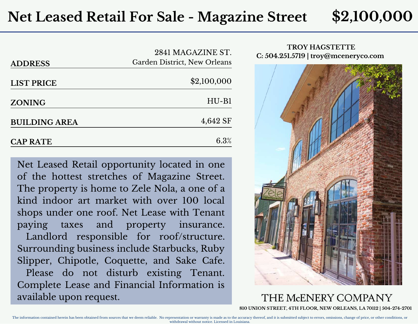# **Net Leased Retail For Sale - Magazine Street**

|                      | 2841 MAGAZINE ST.            |  |
|----------------------|------------------------------|--|
| <b>ADDRESS</b>       | Garden District, New Orleans |  |
| <b>LIST PRICE</b>    | \$2,100,000                  |  |
| <b>ZONING</b>        | $HU-B1$                      |  |
| <b>BUILDING AREA</b> | 4,642 SF                     |  |
| <b>CAP RATE</b>      | 6.3%                         |  |

Net Leased Retail opportunity located in one of the hottest stretches of Magazine Street. The property is home to Zele Nola, a one of a kind indoor art market with over 100 local shops under one roof. Net Lease with Tenant paying taxes and property insurance. Landlord responsible for roof/structure. Surrounding business include Starbucks, Ruby Slipper, Chipotle, Coquette, and Sake Cafe. Please do not disturb existing Tenant. Complete Lease and Financial Information is available upon request.

**TROY HAGSTETTE C: 504.251.5719 | troy@mceneryco.com**

**\$2,100,000**



THE McENERY COMPANY **810 UNION STREET, 4TH FLOOR, NEW ORLEANS, LA 70112 |504-274-2701**

The information contained herein has been obtained from sources that we deem reliable. No representation or warranty is made as to the accuracy thereof, and it is submitted subject to errors, omissions, change of price, or withdrawal without notice. Licensed in Louisiana.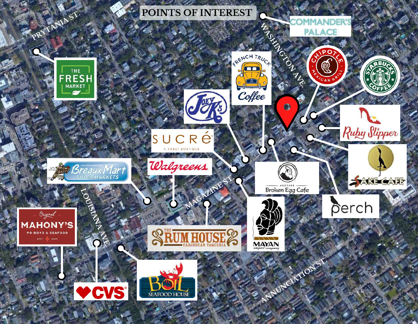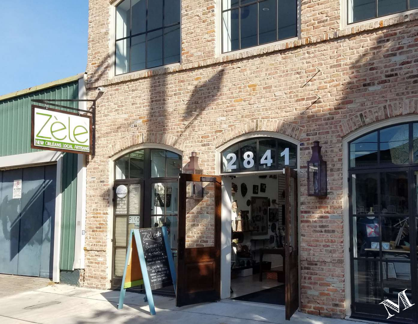